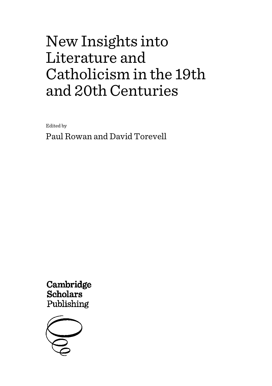Edited by

Paul Rowan and David Torevell

Cambridge **Scholars** Publishing

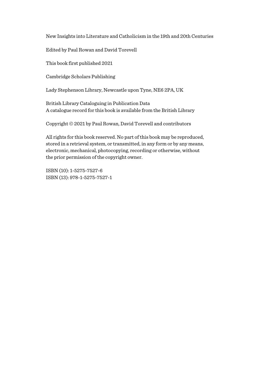Edited by Paul Rowan and David Torevell

This book first published 2021

Cambridge Scholars Publishing

Lady Stephenson Library, Newcastle upon Tyne, NE6 2PA, UK

British Library Cataloguing in Publication Data A catalogue record for this book is available from the British Library

Copyright © 2021 by Paul Rowan, David Torevell and contributors

All rights for this book reserved. No part of this book may be reproduced, stored in a retrieval system, or transmitted, in any form or by any means, electronic, mechanical, photocopying, recording or otherwise, without the prior permission of the copyright owner.

ISBN (10): 1-5275-7527-6 ISBN (13): 978-1-5275-7527-1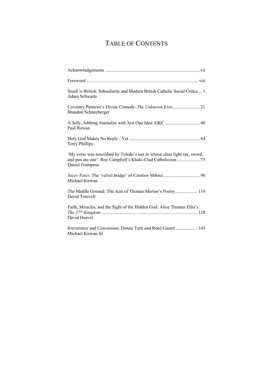# TABLE OF CONTENTS

| Small is British: Subsidiarity and Modern British Catholic Social Critics  1<br>Adam Schwartz                                                             |
|-----------------------------------------------------------------------------------------------------------------------------------------------------------|
| Brandon Schneeberger                                                                                                                                      |
| A Jolly, Jobbing Journalist with Just One Idea: GKC  40<br>Paul Rowan                                                                                     |
| <b>Terry Phillips</b>                                                                                                                                     |
| 'My verse was nourished by Toledo's sun in whose clear light ray, sword,<br>and pen are one': Roy Campbell's Khaki-Clad Catholicism 75<br>Daniel Frampton |
| Michael Kirwan                                                                                                                                            |
| The Middle Ground: The Aim of Thomas Merton's Poetry 110<br>David Torevell                                                                                |
| Faith, Miracles, and the Sight of the Hidden God: Alice Thomas Ellis's<br>David Deavel                                                                    |
| Irreverence and Conversion: Donna Tartt and René Girard  143<br>Michael Kirwan SJ                                                                         |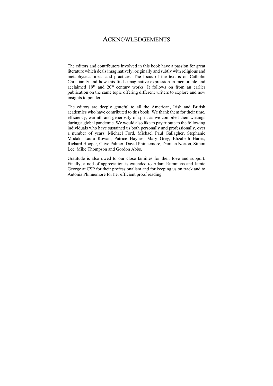## ACKNOWLEDGEMENTS

The editors and contributors involved in this book have a passion for great literature which deals imaginatively, originally and subtly with religious and metaphysical ideas and practices. The focus of the text is on Catholic Christianity and how this finds imaginative expression in memorable and acclaimed 19<sup>th</sup> and 20<sup>th</sup> century works. It follows on from an earlier publication on the same topic offering different writers to explore and new insights to ponder.

The editors are deeply grateful to all the American, Irish and British academics who have contributed to this book. We thank them for their time, efficiency, warmth and generosity of spirit as we compiled their writings during a global pandemic. We would also like to pay tribute to the following individuals who have sustained us both personally and professionally, over a number of years: Michael Ford, Michael Paul Gallagher, Stephanie Modak, Laura Rowan, Patrice Haynes, Mary Grey, Elizabeth Harris, Richard Hooper, Clive Palmer, David Phinnemore, Damian Norton, Simon Lee, Mike Thompson and Gordon Abbs.

Gratitude is also owed to our close families for their love and support. Finally, a nod of appreciation is extended to Adam Rummens and Jamie George at CSP for their professionalism and for keeping us on track and to Antonia Phinnemore for her efficient proof reading.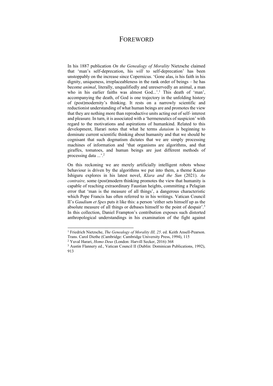## **FOREWORD**

In his 1887 publication *On the Genealogy of Morality* Nietzsche claimed that 'man's self-deprecation, his *will* to self-deprecation' has been unstoppably on the increase since Copernicus. 'Gone alas, is his faith in his dignity, uniqueness, irreplaceableness in the rank order of beings – he has become *animal*, literally, unqualifiedly and unreservedly an animal, a man who in his earlier faiths was almost God...'.<sup>1</sup> This death of 'man', accompanying the death, of God is one trajectory in the unfolding history of (post)modernity's thinking. It rests on a narrowly scientific and reductionist understanding of what human beings are and promotes the view that they are nothing more than reproductive units acting out of self- interest and pleasure. In turn, it is associated with a 'hermeneutics of suspicion' with regard to the motivations and aspirations of humankind. Related to this development, Harari notes that what he terms *dataism* is beginning to dominate current scientific thinking about humanity and that we should be cognisant that such dogmatism dictates that we are simply processing machines of information and 'that organisms are algorithms, and that giraffes, tomatoes, and human beings are just different methods of processing data ...'.<sup>2</sup>

On this reckoning we are merely artificially intelligent robots whose behaviour is driven by the algorithms we put into them, a theme Kazuo Ishiguru explores in his latest novel, *Klara and the Sun* (2021). *Au contraire,* some (post)modern thinking promotes the view that humanity is capable of reaching extraordinary Faustian heights, committing a Pelagian error that 'man is the measure of all things', a dangerous characteristic which Pope Francis has often referred to in his writings. Vatican Council II's *Gaudium et Spes* puts it like this: a person 'either sets himself up as the absolute measure of all things or debases himself to the point of despair'.3 In this collection, Daniel Frampton's contribution exposes such distorted anthropological understandings in his examination of the fight against

<sup>&</sup>lt;sup>1</sup> Friedrich Nietzsche, *The Genealogy of Morality III, 25.* ed. Keith Ansell-Pearson. Trans. Carol Diethe (Cambridge: Cambridge University Press, 1994), 115<sup>2</sup> Yuval Harari. *Homo Deus* (London: Harvill Secker, 2016) 368

<sup>&</sup>lt;sup>3</sup> Austin Flannery ed., Vatican Council II (Dublin: Dominican Publications, 1992), 913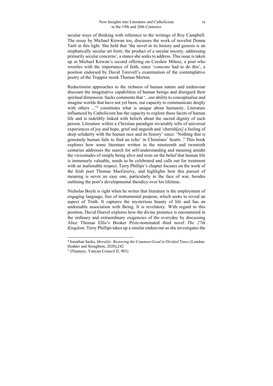secular ways of thinking with reference to the writings of Roy Campbell. The essay by Michael Kirwan too, discusses the work of novelist Donna Tartt in this light. She held that 'the novel in its history and genesis is an emphatically secular art form; the product of a secular society, addressing primarily secular concerns', a stance she seeks to address. This issue is taken up in Michael Kirwan's second offering on Czesław Miłosz, a poet who wrestles with the importance of faith, since '*someone* had to do this', a position endorsed by David Torevell's examination of the contemplative poetry of the Trappist monk Thomas Merton.

Reductionist approaches to the richness of human nature and endeavour discount the imaginative capabilities of human beings and disregard their spiritual dimension. Sacks comments that '...our ability to conceptualise and imagine worlds that have not yet been, our capacity to communicate deeply with others ...<sup>,4</sup> constitutes what is unique about humanity. Literature influenced by Catholicism has the capacity to explore these facets of human life and is indelibly linked with beliefs about the sacred dignity of each person. Literature within a Christian paradigm invariably tells of universal experiences of joy and hope, grief and anguish and 'cherish[es] a feeling of deep solidarity with the human race and its history' since: 'Nothing that is genuinely human fails to find an echo' in Christians' hearts .5 This book explores how some literature written in the nineteenth and twentieth centuries addresses the search for self-understanding and meaning amidst the vicissitudes of simply being alive and rests on the belief that human life is immensely valuable, needs to be celebrated and calls out for treatment with an inalienable respect. Terry Phillips's chapter focuses on the work of the Irish poet Thomas MacGreevy, and highlights how this pursuit of meaning is never an easy one, particularly in the face of war, besides outlining the poet's developmental theodicy over his lifetime.

Nicholas Boyle is right when he writes that literature is the employment of engaging language, free of instrumental purpose, which seeks to reveal an aspect of Truth. It captures the mysterious beauty of life and has an undeniable association with Being. It is revelatory. With regard to this position, David Deavel explores how the divine presence is encountered in the ordinary and extraordinary exigencies of the everyday by discussing Alice Thomas Ellis's Booker Prize-nominated third novel *The 27th Kingdom*. Terry Phillips takes up a similar endeavour as she investigates the

<sup>4</sup> Jonathan Sacks, *Morality. Restoring the Common Good in Divided Times* (London: Hodder and Stoughton, 2020),242 5 (Flannery, Vatican Council II, 903)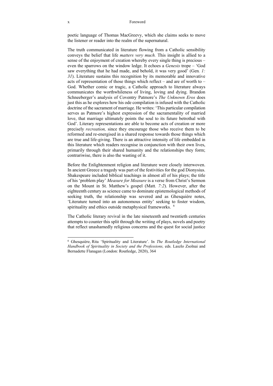### x Foreword

poetic language of Thomas MacGreevy, which she claims seeks to move the listener or reader into the realm of the supernatural.

The truth communicated in literature flowing from a Catholic sensibility conveys the belief that life *matters very much.* This insight is allied to a sense of the enjoyment of creation whereby every single thing is precious – even the sparrows on the window ledge. It echoes a *Genesis* trope – 'God saw everything that he had made, and behold, it was very good' (Gen*. 1: 31*). Literature sustains this recognition by its memorable and innovative acts of representation of those things which reflect – and are of worth to – God. Whether comic or tragic, a Catholic approach to literature always communicates the worthwhileness of living, loving and dying. Brandon Schneeberger's analysis of Coventry Patmore's *The Unknown Eros* does just this as he explores how his ode compilation is infused with the Catholic doctrine of the sacrament of marriage. He writes: 'This particular compilation serves as Patmore's highest expression of the sacramentality of married love, that marriage ultimately points the soul to its future betrothal with God'. Literary representations are able to become acts of creation or more precisely *recreation,* since they encourage those who receive them to be reformed and re-energised in a shared response towards those things which are true and life-giving. There is an attractive intensity of life embedded in this literature which readers recognise in conjunction with their own lives, primarily through their shared humanity and the relationships they form; contrariwise, there is also the wasting of it.

Before the Enlightenment religion and literature were closely interwoven. In ancient Greece a tragedy was part of the festivities for the god Dionysius. Shakespeare included biblical teachings in almost all of his plays; the title of his 'problem play' *Measure for Measure* is a verse from Christ's Sermon on the Mount in St. Matthew's gospel (Matt*. 7:2*). However, after the eighteenth century as science came to dominate epistemological methods of seeking truth, the relationship was severed and as Ghesquière notes, 'Literature turned into an autonomous entity' seeking to foster wisdom, spirituality and ethics outside metaphysical frameworks. <sup>6</sup>

The Catholic literary revival in the late nineteenth and twentieth centuries attempts to counter this split through the writing of plays, novels and poetry that reflect unashamedly religious concerns and the quest for social justice

<sup>6</sup> Ghesquière, Rita 'Spirituality and Literature'. In *The Routledge International Handbook of Spirituality in Society and the Professions,* eds. Laszlo Zsolnai and Bernadette Flanagan (London: Routledge, 2020), 364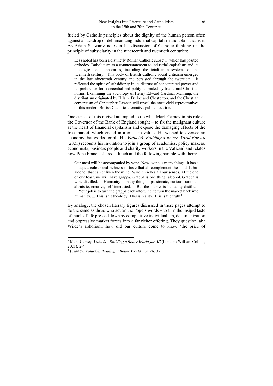fueled by Catholic principles about the dignity of the human person often against a backdrop of dehumanizing industrial capitalism and totalitarianism. As Adam Schwartz notes in his discussion of Catholic thinking on the principle of subsidiarity in the nineteenth and twentieth centuries:

Less noted has been a distinctly Roman Catholic subset ... which has posited orthodox Catholicism as a counterstatement to industrial capitalism and its ideological contemporaries, including the totalitarian systems of the twentieth century. This body of British Catholic social criticism emerged in the late nineteenth century and persisted through the twentieth. It reflected the spirit of subsidiarity in its distrust of concentrated power and its preference for a decentralized polity animated by traditional Christian norms. Examining the sociology of Henry Edward Cardinal Manning, the distributism originated by Hilaire Belloc and Chesterton, and the Christian corporatism of Christopher Dawson will reveal the most vivid representatives of this modern British Catholic alternative public doctrine.

One aspect of this revival attempted to do what Mark Carney in his role as the Governor of the Bank of England sought – to fix the malignant culture at the heart of financial capitalism and expose the damaging effects of the free market, which ended in a crisis in values. He wished to oversee an economy that works for all. His *Value(s): Building a Better World For All* (2021) recounts his invitation to join a group of academics, policy makers, economists, business people and charity workers in the Vatican<sup>7</sup> and relates how Pope Francis shared a lunch and the following parable with them:

Our meal will be accompanied by wine. Now, wine is many things. It has a bouquet, colour and richness of taste that all complement the food. It has alcohol that can enliven the mind. Wine enriches all our senses. At the end of our feast, we will have grappa. Grappa is one thing: alcohol. Grappa is wine distilled. ... Humanity is many things – passionate, curious, rational, altruistic, creative, self-interested. ... But the market is humanity distilled. ... Your job is to turn the grappa back into wine, to turn the market back into humanity. ... This isn't theology. This is reality. This is the truth.<sup>8</sup>

By analogy, the chosen literary figures discussed in these pages attempt to do the same as those who act on the Pope's words – to turn the insipid taste of much of life pressed down by competitive individualism, dehumanization and oppressive market forces into a far richer offering. They question, aka Wilde's aphorism: how did our culture come to know 'the price of

<sup>7</sup> Mark Carney, *Value(s). Building a Better World for All* (London: William Collins, 2021), 2-4

<sup>8 (</sup>Carney, *Value(s). Building a Better World For All*, 3)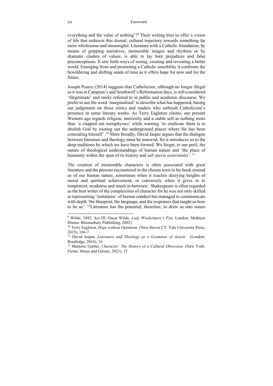everything and the value of nothing'?<sup>9</sup> Their writing tries to offer a vision of life that redirects this dismal, cultural trajectory towards something far more wholesome and meaningful. Literature with a Catholic foundation, by means of gripping narratives, memorable images and rhythms or by dramatic clashes of values, is able to lay bare prejudices and false preconceptions. It sets forth ways of seeing, creating and revealing a better world. Emerging from and promoting a Catholic sensibility it confronts the bewildering and shifting sands of time as it offers hope for now and for the future.

Joseph Pearce (2014) suggests that Catholicism, although no longer illegal as it was in Campion's and Southwell's Reformation days, is still considered 'illegitimate' and rarely referred to in public and academic discourse. We prefer to use the word 'marginalised' to describe what has happened, basing our judgement on those critics and readers who airbrush Catholicism's presence in some literary works. As Terry Eagleton claims, our present Western age regards religion, interiority and a stable self as nothing more than 'a clapped out metaphysics' while warning 'to eradicate them is to abolish God by rooting out the underground places where He has been concealing himself' .10 More broadly, David Jasper argues that the dialogue between literature and theology must be renewed, for it introduces us to the deep traditions by which we have been formed. We forget, to our peril, the nature of theological understandings of human nature and 'the place of humanity within the span of its history and *sub specie aeternitatis*'. 11

The creation of memorable characters is often associated with great literature and the persons encountered in the chosen texts in his book remind us of our human nature, sometimes when it reaches dizzying heights of moral and spiritual achievement, or conversely when it gives in to temptation, weakness and much in-between. Shakespeare is often regarded as the best writer of the complexities of character for he was not only skilled at representing 'imitations' of human conduct but managed to communicate with depth 'the blueprint, the language, and the responses that taught us how to be us'. 12Literature has the potential, therefore, to draw us into issues

<sup>9</sup> Wilde, 1892, Act III. Oscar Wilde, *Lady Windermere's Fan*. London: Methuen Drama. Bloomsbury Publishing, 2002)

<sup>10</sup> Terry Eagleton, *Hope without Optimism*. (New Haven CT: Yale University Press, 2015), 186-7

<sup>&</sup>lt;sup>11</sup> David Jaspar, *Literature and Theology as a Grammar of Assent.* (London: Routledge, 2016), 10

<sup>&</sup>lt;sup>12</sup> Marjorie Garber, *Character. The History of a Cultural Obsession*. (New York: Farrar, Straus and Giroux, 2021), 17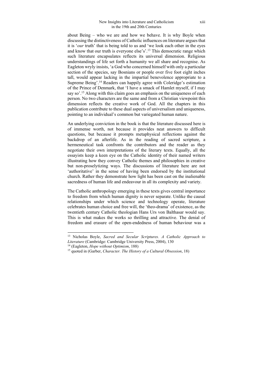about Being – who we are and how we behave. It is why Boyle when discussing the distinctiveness of Catholic influences on literature argues that it is '*our* truth' that is being told to us and 'we look each other in the eyes and know that our truth is everyone else's'.13 This democratic range which such literature encapsulates reflects its universal dimension. Religious understandings of life set forth a humanity we all share and recognise. As Eagleton wryly insists, 'a God who concerned himself with only a particular section of the species, say Bosnians or people over five foot eight inches tall, would appear lacking in the impartial benevolence appropriate to a Supreme Being'.14 Readers can happily agree with Coleridge's estimation of the Prince of Denmark, that 'I have a smack of Hamlet myself, if I may say so'.<sup>15</sup> Along with this claim goes an emphasis on the uniqueness of each person. No two characters are the same and from a Christian viewpoint this dimension reflects the creative work of God. All the chapters in this publication contribute to these dual aspects of universalism and uniqueness, pointing to an individual's common but variegated human nature.

An underlying conviction in the book is that the literature discussed here is of immense worth, not because it provides neat answers to difficult questions, but because it prompts metaphysical reflections against the backdrop of an afterlife. As in the reading of sacred scripture, a hermeneutical task confronts the contributors and the reader as they negotiate their own interpretations of the literary texts. Equally, all the essayists keep a keen eye on the Catholic identity of their named writers illustrating how they convey Catholic themes and philosophies in creative but non-proselytizing ways. The discussions of literature here are not 'authoritative' in the sense of having been endorsed by the institutional church. Rather they demonstrate how light has been cast on the inalienable sacredness of human life and endeavour in all its complexity and variety.

The Catholic anthropology emerging in these texts gives central importance to freedom from which human dignity is never separate. Unlike the causal relationships under which science and technology operate, literature celebrates human choice and free will, the 'theo-drama' of existence, as the twentieth century Catholic theologian Hans Urs von Balthasar would say. This is what makes the works so thrilling and attractive. The denial of freedom and erasure of the open-endedness of human behaviour was a

<sup>13</sup> Nicholas Boyle, *Sacred and Secular Scriptures. A Catholic Approach to Literature* (Cambridge: Cambridge University Press, 2004), 130<br><sup>14</sup> (Eagleton, *Hope without Optimism*, 188)<br><sup>15</sup> quoted in (Garber, *Character. The History of a Cultural Obsession*, 18)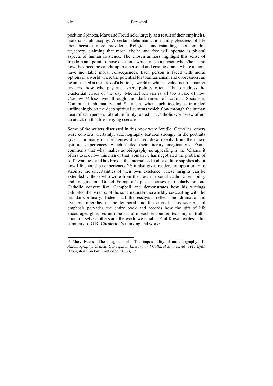position Spinoza, Marx and Freud held, largely as a result of their empiricist, materialist philosophy. A certain dehumanization and joylessness of life then became more prevalent. Religious understandings counter this trajectory, claiming that moral choice and free will operate as pivotal aspects of human existence. The chosen authors highlight this sense of freedom and point to those decisions which make a person who s/he is and how they become caught up in a personal and cosmic drama where actions have inevitable moral consequences. Each person is faced with moral options in a world where the potential for totalitarianism and oppression can be unleashed at the click of a button, a world in which a value-neutral market rewards those who pay and where politics often fails to address the existential crises of the day. Michael Kirwan is all too aware of how Czesław Miłosz lived through the 'dark times' of National Socialism, Communist inhumanity and Stalinism, when such ideologies trampled unflinchingly on the deep spiritual currents which flow through the human heart of each person. Literature firmly rooted in a Catholic worldview offers an attack on this life-denying scenario.

Some of the writers discussed in this book were 'cradle' Catholics, others were converts. Certainly, autobiography features strongly in the portraits given, for many of the figures discussed drew deeply from their own spiritual experiences, which fueled their literary imaginations. Evans comments that what makes autobiography so appealing is the 'chance it offers to see how this man or that woman … has negotiated the problem of self-awareness and has broken the internalised code a culture supplies about how life should be experienced<sup>'16</sup>; it also gives readers an opportunity to stabilise the uncertainties of their own existence. These insights can be extended to those who write from their own personal Catholic sensibility and imagination. Daniel Frampton's piece focuses particularly on one Catholic convert Roy Campbell and demonstrates how his writings exhibited the paradox of the supernatural/otherworldly co-existing with the mundane/ordinary. Indeed, all the essayists reflect this dramatic and dynamic interplay of the temporal and the eternal. This sacramental emphasis pervades the entire book and records how the gift of life encourages glimpses into the sacral in each encounter, teaching us truths about ourselves, others and the world we inhabit. Paul Rowan writes in his summary of G.K. Chesterton's thinking and work:

<sup>16</sup> Mary Evans, 'The imagined self: The impossibility of auto/biography', In *Autobiography. Critical Concepts in Literary and Cultural Studies,* ed. Trev Lynn Broughton London: Routledge, 2007), 17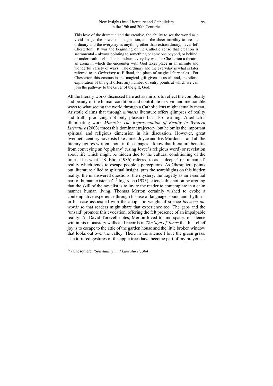This love of the dramatic and the creative, the ability to see the world as a vivid image, the power of imagination, and the sheer inability to see the ordinary and the everyday as anything other than extraordinary, never left Chesterton. It was the beginning of the Catholic sense that creation is sacramental – always pointing to something or someone beyond, or behind, or underneath itself. The humdrum everyday was for Chesterton a theatre, an arena in which the encounter with God takes place in an infinite and wonderful variety of ways. The ordinary and the everyday is what is later referred to in *Orthodoxy* as Elfland, the place of magical fairy tales. For Chesterton this cosmos is the magical gift given to us all and, therefore, exploration of this gift offers any number of entry points at which we can join the pathway to the Giver of the gift, God.

All the literary works discussed here act as mirrors to reflect the complexity and beauty of the human condition and contribute in vivid and memorable ways to what seeing the world through a Catholic lens might actually mean. Aristotle claims that through *mimesis* literature offers glimpses of reality and truth, producing not only pleasure but also learning. Auerbach's illuminating work *Mimesis: The Representation of Reality in Western Literature* (2003) traces this dominant trajectory, but he omits the important spiritual and religious dimension in his discussion*.* However, great twentieth century novelists like James Joyce and Iris Murdoch – and all the literary figures written about in these pages – know that literature benefits from conveying an 'epiphany' (using Joyce's religious word) or revelation about life which might be hidden due to the cultural conditioning of the times. It is what T.S. Eliot (1986) referred to as a 'deeper' or 'unnamed' reality which tends to escape people's perceptions. As Ghesquière points out, literature allied to spiritual insight 'puts the searchlights on this hidden reality: the unanswered questions, the mystery, the tragedy as an essential part of human existence'.17 Ingarden (1973) extends this notion by arguing that the skill of the novelist is to invite the reader to contemplate in a calm manner human living. Thomas Merton certainly wished to evoke a contemplative experience through his use of language, sound and rhythm – in his case associated with the apophatic weight of silence *between the words* so that readers might share that experience too. The gaps and the 'unsaid' promote this evocation, offering the felt presence of an impalpable reality. As David Torevell notes, Merton loved to find spaces of silence within his monastery walls and records in *The Sign of Jonas* that his 'chief joy is to escape to the attic of the garden house and the little broken window that looks out over the valley. There in the silence I love the green grass. The tortured gestures of the apple trees have become part of my prayer. …

<sup>17 (</sup>Ghesquière, '*Spirituality and Literature'*, 364)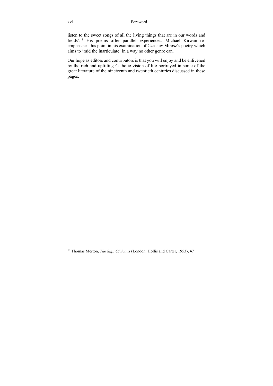listen to the sweet songs of all the living things that are in our words and fields'.18 His poems offer parallel experiences. Michael Kirwan reemphasises this point in his examination of Czesław Miłosz's poetry which aims to 'raid the inarticulate' in a way no other genre can.

Our hope as editors and contributors is that you will enjoy and be enlivened by the rich and uplifting Catholic vision of life portrayed in some of the great literature of the nineteenth and twentieth centuries discussed in these pages.

<sup>18</sup> Thomas Merton, *The Sign Of Jonas* (London: Hollis and Carter, 1953), 47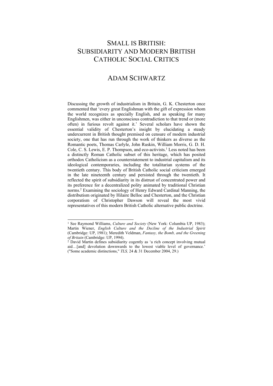# SMALL IS BRITISH: SUBSIDIARITY AND MODERN BRITISH CATHOLIC SOCIAL CRITICS

## ADAM SCHWARTZ

Discussing the growth of industrialism in Britain, G. K. Chesterton once commented that 'every great Englishman with the gift of expression whom the world recognizes as specially English, and as speaking for many Englishmen, was either in unconscious contradiction to that trend or (more often) in furious revolt against it.' Several scholars have shown the essential validity of Chesterton's insight by elucidating a steady undercurrent in British thought premised on censure of modern industrial society, one that has run through the work of thinkers as diverse as the Romantic poets, Thomas Carlyle, John Ruskin, William Morris, G. D. H. Cole, C. S. Lewis, E. P. Thompson, and eco-activists.<sup>1</sup> Less noted has been a distinctly Roman Catholic subset of this heritage, which has posited orthodox Catholicism as a counterstatement to industrial capitalism and its ideological contemporaries, including the totalitarian systems of the twentieth century. This body of British Catholic social criticism emerged in the late nineteenth century and persisted through the twentieth. It reflected the spirit of subsidiarity in its distrust of concentrated power and its preference for a decentralized polity animated by traditional Christian norms.2 Examining the sociology of Henry Edward Cardinal Manning, the distributism originated by Hilaire Belloc and Chesterton, and the Christian corporatism of Christopher Dawson will reveal the most vivid representatives of this modern British Catholic alternative public doctrine.

<sup>&</sup>lt;sup>1</sup> See Raymond Williams, *Culture and Society* (New York: Columbia UP, 1983); Martin Wiener, *English Culture and the Decline of the Industrial Spirit*  (Cambridge: UP, 1981); Meredith Veldman, *Fantasy, the Bomb, and the Greening of Britain* (Cambridge: UP, 1994).<br><sup>2</sup> David Martin defines subsidiarity cogently as 'a rich concept involving mutual

aid…[and] devolution downwards to the lowest viable level of governance.' ("Some academic distinctions," *TLS,* 24 & 31 December 2004, 29.)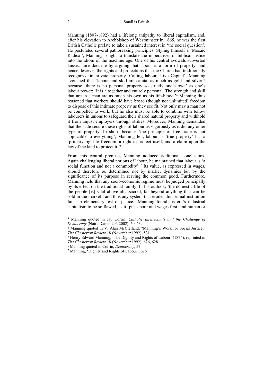Manning (1807-1892) had a lifelong antipathy to liberal capitalism, and, after his elevation to Archbishop of Westminster in 1865, he was the first British Catholic prelate to take a sustained interest in 'the social question'. He postulated several pathbreaking principles. Styling himself a 'Mosaic Radical', Manning sought to translate the imperatives of biblical justice into the idiom of the machine age. One of his central avowals subverted laissez-faire doctrine by arguing that labour is a form of property, and hence deserves the rights and protections that the Church had traditionally recognized in private property. Calling labour 'Live Capital', Manning avouched that 'labour and skill are capital as much as gold and silver'3 because 'there is no personal property so strictly one's own' as one's labour power: 'It is altogether and entirely personal. The strength and skill that are in a man are as much his own as his life-blood.'4 Manning thus reasoned that workers should have broad (though not unlimited) freedom to dispose of this intimate property as they see fit. Not only may a man not be compelled to work, but he also must be able to combine with fellow labourers in unions to safeguard their shared natural property and withhold it from unjust employers through strikes. Moreover, Manning demanded that the state secure these rights of labour as vigorously as it did any other type of property. In short, because 'the principle of free trade is not applicable to everything', Manning felt, labour as 'true property' has a 'primary right to freedom, a right to protect itself, and a claim upon the law of the land to protect it.'5

From this central premise, Manning adduced additional conclusions. Again challenging liberal notions of labour, he maintained that labour is 'a social function and not a commodity'. <sup>6</sup> Its value, as expressed in wages, should therefore be determined not by market dynamics but by the significance of its purpose in serving the common good. Furthermore, Manning held that any socio-economic regime must be judged principally by its effect on the traditional family. In his outlook, 'the domestic life of the people [is] vital above all…sacred, far beyond anything that can be sold in the market', and thus any system that erodes this primal institution fails an elementary test of justice.7 Manning found his era's industrial capitalism to be so flawed, as it 'put labour and wages first, and human or

<sup>3</sup> Manning quoted in Jay Corrin, *Catholic Intellectuals and the Challenge of* 

<sup>&</sup>lt;sup>4</sup> Manning quoted in V. Alan McClelland, "Manning's Work for Social Justice," *The Chesterton Review* 18 (November 1992): 531.<br><sup>5</sup> Henry Edward Manning, 'The Dignity and Rights of Labour' (1874); reprinted in

*The Chesterton Review* 18 (November 1992): 626, 628.<br><sup>6</sup> Manning quoted in Corrin, *Democracy*, 57<br><sup>7</sup> Manning, 'Dignity and Rights of Labour', 626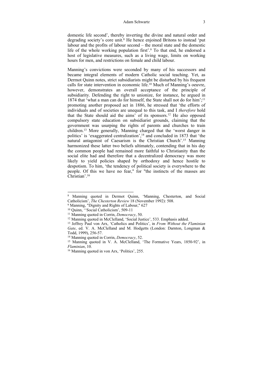### Adam Schwartz 3

domestic life second', thereby inverting the divine and natural order and degrading society's core unit.<sup>8</sup> He hence enjoined Britons to instead 'put labour and the profits of labour second – the moral state and the domestic life of the whole working population first'.<sup>9</sup> To that end, he endorsed a host of legislative measures, such as a living wage, limits on working hours for men, and restrictions on female and child labour.

Manning's convictions were seconded by many of his successors and became integral elements of modern Catholic social teaching. Yet, as Dermot Quinn notes, strict subsidiarists might be disturbed by his frequent calls for state intervention in economic life.10 Much of Manning's oeuvre, however, demonstrates an overall acceptance of the principle of subsidiarity. Defending the right to unionize, for instance, he argued in 1874 that 'what a man can do for himself, the State shall not do for him';<sup>11</sup> promoting another proposed act in 1886, he stressed that 'the efforts of individuals and of societies are unequal to this task, and I *therefore* hold that the State should aid the aims' of its sponsors.<sup>12</sup> He also opposed compulsory state education on subsidiarist grounds, claiming that the government was usurping the rights of parents and churches to train children.13 More generally, Manning charged that the 'worst danger in politics' is 'exaggerated centralization',14 and concluded in 1873 that 'the natural antagonist of Caesarism is the Christian Church'.15 Manning harmonized these latter two beliefs ultimately, contending that in his day the common people had remained more faithful to Christianity than the social elite had and therefore that a decentralized democracy was more likely to yield policies shaped by orthodoxy and hence hostile to despotism. To him, 'the tendency of political society is everywhere to the people. Of this we have no fear," for "the instincts of the masses are Christian'.16

<sup>8</sup> Manning quoted in Dermot Quinn, 'Manning, Chesterton, and Social Catholicism', *The Chesterton Review* 18 (November 1992): 508. 9 Manning, "Dignity and Rights of Labour," 627

<sup>10</sup> Quinn, ''Social Catholicism', 509-11

<sup>&</sup>lt;sup>11</sup> Manning quoted in Corrin, *Democracy*, 50.<br><sup>12</sup> Manning quoted in McClelland, 'Social Justice', 533. Emphasis added. <sup>13</sup> Jeffrey Paul von Arx, 'Catholics and Politics', in *From Without the Flaminian Gate*, ed. V. A. McClelland and M. Hodgetts (London: Darnton, Longman & Todd, 1999), 256-57.

<sup>&</sup>lt;sup>14</sup> Manning quoted in Corrin, *Democracy*, 52.<br><sup>15</sup> Manning quoted in V. A. McClelland, 'The Formative Years, 1850-92', in *Flaminian*, 10.<br><sup>16</sup> Manning quoted in von Arx, 'Politics', 255.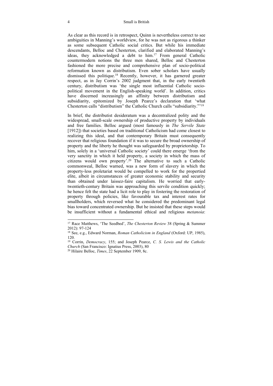As clear as this record is in retrospect, Quinn is nevertheless correct to see ambiguities in Manning's worldview, for he was not as rigorous a thinker as some subsequent Catholic social critics. But while his immediate descendants, Belloc and Chesterton, clarified and elaborated Manning's ideas, they acknowledged a debt to him.17 From general Catholic countermodern notions the three men shared, Belloc and Chesterton fashioned the more precise and comprehensive plan of socio-political reformation known as distributism. Even sober scholars have usually dismissed this politique.18 Recently, however, it has garnered greater respect, as in Jay Corrin's 2002 judgment that, in the early twentieth century, distributism was 'the single most influential Catholic sociopolitical movement in the English-speaking world'. In addition, critics have discerned increasingly an affinity between distributism and subsidiarity, epitomized by Joseph Pearce's declaration that 'what Chesterton calls "distributism" the Catholic Church calls "subsidiarity."'19

In brief, the distributist desideratum was a decentralized polity and the widespread, small-scale ownership of productive property by individuals and free families. Belloc argued (most famously in *The Servile State* [1912]) that societies based on traditional Catholicism had come closest to realizing this ideal, and that contemporary Britain must consequently recover that religious foundation if it was to secure the broad ownership of property and the liberty he thought was safeguarded by proprietorship. To him, solely in a 'universal Catholic society' could there emerge 'from the very sanctity in which it held property, a society in which the mass of citizens would own property'.20 The alternative to such a Catholic commonweal, Belloc warned, was a new form of slavery in which the property-less proletariat would be compelled to work for the propertied elite, albeit in circumstances of greater economic stability and security than obtained under laissez-faire capitalism. He worried that earlytwentieth-century Britain was approaching this servile condition quickly; he hence felt the state had a licit role to play in fostering the restoration of property through policies, like favourable tax and interest rates for smallholders, which reversed what he considered the predominant legal bias toward concentrated ownership. But he insisted that these steps would be insufficient without a fundamental ethical and religious *metanoia*:

<sup>17</sup> Race Matthews, 'The Seedbed', *The Chesterton Review* 38 (Spring & Summer 2012): 97-124

<sup>18</sup> See, e.g., Edward Norman, *Roman Catholicism in England* (Oxford: UP, 1985), 120.

<sup>19</sup> Corrin, *Democracy*, 155; and Joseph Pearce, *C. S. Lewis and the Catholic Church* (San Francisco: Ignatius Press, 2003), 80 20 Hilaire Belloc, *Times*, 22 September 1909, 8c.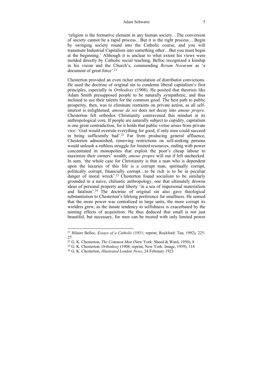#### Adam Schwartz 5

'religion is the formative element in any human society…The conversion of society cannot be a rapid process…But it is the right process….Begin by swinging society round into the Catholic course, and you will transmute Industrial Capitalism into something other…But you must begin at the beginning.' Although it is unclear to what extent his views were molded directly by Catholic social teaching, Belloc recognized a kinship in his vision and the Church's, commending *Rerum Novarum* as 'a document of great force'.21

Chesterton provided an even richer articulation of distributist convictions. He used the doctrine of original sin to condemn liberal capitalism's first principles, especially in *Orthodoxy* (1908). He posited that theorists like Adam Smith presupposed people to be naturally sympathetic, and thus inclined to use their talents for the common good. The best path to public prosperity, then, was to eliminate restraints on private action, as all selfinterest is enlightened; *amour de soi* does not decay into *amour propre*. Chesterton felt orthodox Christianity contravened this mindset at its anthropological core. If people are naturally subject to cupidity, capitalism is one great contradiction, for it holds that public virtue arises from private vice: 'God would overrule everything for good, if only men could succeed in being sufficiently bad'.<sup>22</sup> Far from producing general affluence, Chesterton admonished, removing restrictions on self-seeking persons would unleash a ruthless struggle for limited resources, ending with power concentrated in monopolies that exploit the poor's cheap labour to maximize their owners' wealth; *amour propre* will out if left unchecked. In sum, 'the whole case for Christianity is that a man who is dependent upon the luxuries of this life is a corrupt man, spiritually corrupt, politically corrupt, financially corrupt…to be rich is to be in peculiar danger of moral wreck'.<sup>23</sup> Chesterton found socialism to be similarly grounded in a naive, chiliastic anthropology, one that ultimately drowns ideas of personal property and liberty 'in a sea of impersonal materialism and fatalism'.24 The doctrine of original sin also gave theological substantiation to Chesterton's lifelong preference for smallness. He sensed that the more power was centralized in large units, the more corrupt its wielders grew, as the innate tendency to selfishness is exacerbated by the tainting effects of acquisition. He thus deduced that small is not just beautiful, but necessary, for men can be trusted with only limited power

<sup>21</sup> Hilaire Belloc, *Essays of a Catholic* (1931; reprint, Rockford: Tan, 1992), 225- 27.<br><sup>22</sup> G. K. Chesterton, *The Common Man* (New York: Sheed & Ward, 1950), 8

<sup>&</sup>lt;sup>23</sup> G. K. Chesterton, *Orthodoxy* (1908; reprint, New York: Image, 1959), 118<sup>24</sup> G. K. Chesterton, *Illustrated London News*, 24 February 1923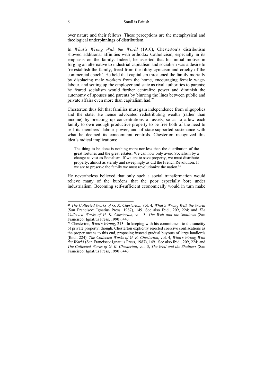### 6 Small is British

over nature and their fellows. These perceptions are the metaphysical and theological underpinnings of distributism.

In *What's Wrong With the World* (1910), Chesterton's distributism showed additional affinities with orthodox Catholicism, especially in its emphasis on the family. Indeed, he asserted that his initial motive in forging an alternative to industrial capitalism and socialism was a desire to 're-establish the family, freed from the filthy cynicism and cruelty of the commercial epoch'. He held that capitalism threatened the family mortally by displacing male workers from the home, encouraging female wagelabour, and setting up the employer and state as rival authorities to parents; he feared socialism would further centralize power and diminish the autonomy of spouses and parents by blurring the lines between public and private affairs even more than capitalism had.25

Chesterton thus felt that families must gain independence from oligopolies and the state. He hence advocated redistributing wealth (rather than income) by breaking up concentrations of assets, so as to allow each family to own enough productive property to be free both of the need to sell its members' labour power, and of state-supported sustenance with what he deemed its concomitant controls. Chesterton recognized this idea's radical implications:

The thing to be done is nothing more nor less than the distribution of the great fortunes and the great estates. We can now only avoid Socialism by a change as vast as Socialism. If we are to save property, we must distribute property, almost as sternly and sweepingly as did the French Revolution. If we are to preserve the family we must revolutionize the nation.<sup>26</sup>

He nevertheless believed that only such a social transformation would relieve many of the burdens that the poor especially bore under industrialism. Becoming self-sufficient economically would in turn make

<sup>25</sup> *The Collected Works of G. K. Chesterton*, vol. 4, *What's Wrong With the World* (San Francisco: Ignatius Press, 1987), 149. See also Ibid., 209, 224; and *The Collected Works of G. K. Chesterton*, vol. 3, *The Well and the Shallows* (San Francisco: Ignatius Press, 1990), 443

<sup>26</sup> Chesterton, *What's Wrong*, 213. In keeping with his commitment to the sanctity of private property, though, Chesterton explicitly rejected coercive confiscations as the proper means to this end, proposing instead gradual buyouts of large landlords (Ibid., 224). *The Collected Works of G. K. Chesterton*, vol. 4, *What's Wrong With the World* (San Francisco: Ignatius Press, 1987), 149. See also Ibid., 209, 224; and *The Collected Works of G. K. Chesterton*, vol. 3, *The Well and the Shallows* (San Francisco: Ignatius Press, 1990), 443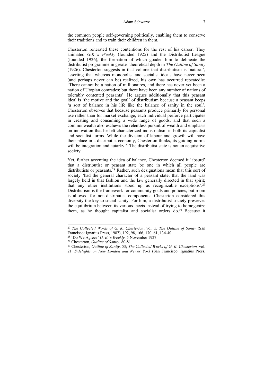the common people self-governing politically, enabling them to conserve their traditions and to train their children in them.

Chesterton reiterated these contentions for the rest of his career. They animated *G.K.'s Weekly* (founded 1925) and the Distributist League (founded 1926), the formation of which goaded him to delineate the distributist programme in greater theoretical depth in *The Outline of Sanity* (1926). Chesterton suggests in that volume that distributism is 'natural', asserting that whereas monopolist and socialist ideals have never been (and perhaps never can be) realized, his own has occurred repeatedly: 'There cannot be a nation of millionaires, and there has never yet been a nation of Utopian comrades; but there have been any number of nations of tolerably contented peasants'. He argues additionally that this peasant ideal is 'the motive and the goal' of distributism because a peasant keeps 'a sort of balance in his life like the balance of sanity in the soul'. Chesterton observes that because peasants produce primarily for personal use rather than for market exchange, each individual perforce participates in creating and consuming a wide range of goods, and that such a commonwealth also eschews the relentless pursuit of wealth and emphasis on innovation that he felt characterized industrialism in both its capitalist and socialist forms. While the division of labour and growth will have their place in a distributist economy, Chesterton thinks, its guiding norms will be integration and autarky.<sup>27</sup> The distributist state is not an acquisitive society.

Yet, further accenting the idea of balance, Chesterton deemed it 'absurd' that a distributist or peasant state be one in which all people are distributists or peasants.<sup>28</sup> Rather, such designations mean that this sort of society 'had the general character of a peasant state; that the land was largely held in that fashion and the law generally directed in that spirit; that any other institutions stood up as recognizable exceptions'.29 Distributism is the framework for community goals and policies, but room is allowed for non-distributist components; Chesterton considered this diversity the key to social sanity. For him, a distributist society preserves the equilibrium between its various facets instead of trying to homogenize them, as he thought capitalist and socialist orders do.<sup>30</sup> Because it

<sup>27</sup> *The Collected Works of G. K. Chesterton*, vol. 5, *The Outline of Sanity* (San Francisco: Ignatius Press, 1987), 192, 98, 166, 170, 61, 134-40.<br><sup>28</sup> 'Do We Agree?' *G. K.'s Weekly*, 5 November 1927.

<sup>&</sup>lt;sup>29</sup> Chesterton, *Outline of Sanity*, 80-81.<br><sup>30</sup> Chesterton, *Outline of Sanity*, 53; *The Collected Works of G. K. Chesterton*, vol.

<sup>21</sup>*, Sidelights on New London and Newer York* (San Francisco: Ignatius Press,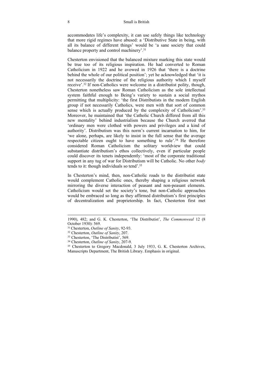accommodates life's complexity, it can use safely things like technology that more rigid regimes have abused: a 'Distributive State in being, with all its balance of different things' would be 'a sane society that could balance property and control machinery'.31

Chesterton envisioned that the balanced mixture marking this state would be true too of its religious inspiration. He had converted to Roman Catholicism in 1922 and he avowed in 1926 that 'there is a doctrine behind the whole of our political position'; yet he acknowledged that 'it is not necessarily the doctrine of the religious authority which I myself receive'.32 If non-Catholics were welcome in a distributist polity, though, Chesterton nonetheless saw Roman Catholicism as the sole intellectual system faithful enough to Being's variety to sustain a social mythos permitting that multiplicity: 'the first Distributists in the modern English group if not necessarily Catholics, were men with that sort of common sense which is actually produced by the complexity of Catholicism'.<sup>33</sup> Moreover, he maintained that 'the Catholic Church differed from all this new mentality' behind industrialism because the Church averred that 'ordinary men were clothed with powers and privileges and a kind of authority'. Distributism was this norm's current incarnation to him, for 'we alone, perhaps, are likely to insist in the full sense that the average respectable citizen ought to have something to rule<sup>'34</sup> He therefore considered Roman Catholicism the solitary worldview that could substantiate distributism's ethos collectively, even if particular people could discover its tenets independently: 'most of the corporate traditional support in any tug of war for Distributism will be Catholic. No other *body* tends to it: though individuals so tend'.35

In Chesterton's mind, then, non-Catholic roads to the distributist state would complement Catholic ones, thereby shaping a religious network mirroring the diverse interaction of peasant and non-peasant elements. Catholicism would set the society's tone, but non-Catholic approaches would be embraced so long as they affirmed distributism's first principles of decentralization and proprietorship. In fact, Chesterton first met

<sup>1990), 482;</sup> and G. K. Chesterton, 'The Distributist', *The Commonweal* 12 (8 October 1930): 569.

<sup>31</sup> Chesterton, *Outline of Sanity*, 92-93. 32 Chesterton, *Outline of Sanity*, 207. 33 Chesterton, 'The Distributist', 569.

<sup>&</sup>lt;sup>34</sup> Chesterton, *Outline of Sanity*, 207-9.<br><sup>35</sup> Chesterton to Gregory Macdonald, 3 July 1933, G. K. Chesterton Archives, Manuscripts Department, The British Library. Emphasis in original.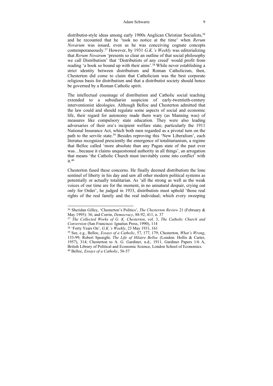### Adam Schwartz 9

distributist-style ideas among early 1900s Anglican Christian Socialists.<sup>36</sup> and he recounted that he 'took no notice at the time' when *Rerum Novarum* was issued, even as he was conceiving cognate concepts contemporaneously.37 However, by 1931 *G.K.'s Weekly* was editorializing that *Rerum Novarum* 'presents so clear an outline of that social philosophy we call Distributism' that 'Distributists of any creed' would profit from reading 'a book so bound up with their aims'.<sup>38</sup> While never establishing a strict identity between distributism and Roman Catholicism, then, Chesterton did come to claim that Catholicism was the best corporate religious basis for distributism and that a distributist society should hence be governed by a Roman Catholic spirit.

The intellectual cousinage of distributism and Catholic social teaching extended to a subsidiarist suspicion of early-twentieth-century interventionist ideologies. Although Belloc and Chesterton admitted that the law could and should regulate some aspects of social and economic life, their regard for autonomy made them wary (as Manning was) of measures like compulsory state education. They were also leading adversaries of their era's incipient welfare state, particularly the 1911 National Insurance Act, which both men regarded as a pivotal turn on the path to the servile state.<sup>39</sup> Besides reproving this 'New Liberalism', each literatus recognized presciently the emergence of totalitarianism, a regime that Belloc called 'more absolute than any Pagan state of the past ever was…because it claims unquestioned authority in all things', an arrogation that means 'the Catholic Church must inevitably come into conflict' with  $it.40$ 

Chesterton fused these concerns. He finally deemed distributism the lone sentinel of liberty in his day and saw all other modern political systems as potentially or actually totalitarian. As 'all the strong as well as the weak voices of our time are for the moment, in no unnatural despair, crying out only for Order', he judged in 1933, distributists must uphold 'those real rights of the real family and the real individual; which every sweeping

<sup>36</sup> Sheridan Gilley, 'Chesterton's Politics', *The Chesterton Review* 21 (February & May 1995): 36; and Corrin, *Democracy*, 88-92, 411, n. 37<br><sup>37</sup> The Collected Works of G. K. Chesterton, vol. 3, The Catholic Church and

*Conversion* (San Francisco: Ignatius Press, 1990), 114 38 'Forty Years On', *G.K.'s Weekly*, 23 May 1931, 161 39 See, e.g., Belloc, *Essays of a Catholic*, 57, 177, 179; Chesterton, *What's Wrong*,

<sup>153-99;</sup> Robert Speaight, *The Life of Hilaire Belloc* (London: Hollis & Carter, 1957), 314; Chesterton to A. G. Gardiner, n.d., 1911, Gardiner Papers 1/6 A, British Library of Political and Economic Science, London School of Economics. 40 Belloc, *Essays of a Catholic*, 56-57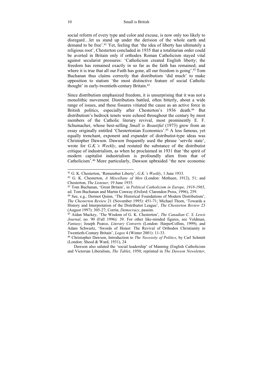social reform of every type and color and excuse, is now only too likely to disregard…let us stand up under the derision of the whole earth and demand to be free'.<sup>41</sup> Yet, feeling that 'the idea of liberty has ultimately a religious root', Chesterton concluded in 1935 that a totalitarian order could be averted in Britain only if orthodox Roman Catholicism stayed vital against secularist pressures: 'Catholicism created English liberty; the freedom has remained exactly in so far as the faith has remained; and where it is true that all our Faith has gone, all our freedom is going'.<sup>42</sup> Tom Buchanan thus claims correctly that distributism 'did much' to make opposition to statism 'the most distinctive feature of social Catholic thought' in early-twentieth-century Britain.43

Since distributism emphasized freedom, it is unsurprising that it was not a monolithic movement. Distributists battled, often bitterly, about a wide range of issues, and these fissures vitiated the cause as an active force in British politics, especially after Chesterton's 1936 death.<sup>44</sup> But distributism's bedrock tenets were echoed throughout the century by most members of the Catholic literary revival, most prominently E. F. Schumacher, whose best-selling *Small is Beautiful* (1973) grew from an essay originally entitled 'Chestertonian Economics'.45 A less famous, yet equally trenchant, exponent and expander of distributist-type ideas was Christopher Dawson. Dawson frequently used the phrase 'servile state', wrote for *G.K.'s Weekly*, and restated the substance of the distributist critique of industrialism, as when he proclaimed in 1931 that 'the spirit of modern capitalist industrialism is profoundly alien from that of Catholicism'.46 More particularly, Dawson upbraided 'the new economic

<sup>41</sup> G. K. Chesterton, 'Remember Liberty', *G.K.'s Weekly*, 1 June 1933.<br><sup>42</sup> G. K. Chesterton, *A Miscellany of Men* (London: Methuen, 1912), 51; and Chesterton. *The Listener*. 19 June 1935.

<sup>&</sup>lt;sup>43</sup> Tom Buchanan, 'Great Britain', in *Political Catholicism in Europe*, 1918-1965, ed. Tom Buchanan and Martin Conway (Oxford: Clarendon Press, 1996), 259.

<sup>44</sup> See, e.g., Dermot Quinn, 'The Historical Foundations of Modern Distributism', *The Chesterton Review* 21 (November 1995): 451-71; Michael Thorn, 'Towards a History and Interpretation of the Distributist League', *The Chesterton Review* 23 (August 1997): 305-27; Corrin, *Democracy*, passim. 45 Aidan Mackey, 'The Wisdom of G. K. Chesterton', *The Canadian C. S. Lewis* 

*Journal*, no. 90 (Fall 1996): 39. For other like-minded figures, see Veldman, *Fantasy*; Joseph Pearce, *Literary Converts* (London: HarperCollins, 1999); and Adam Schwartz, 'Swords of Honor: The Revival of Orthodox Christianity in Twentieth-Century Britain', *Logos* 4 (Winter 2001): 11-33.

<sup>&</sup>lt;sup>46</sup> Christopher Dawson, Introduction to *The Necessity of Politics*, by Carl Schmitt (London: Sheed & Ward, 1931), 24

Dawson also saluted the 'social leadership' of Manning (English Catholicism and Victorian Liberalism, *The Tablet*, 1950; reprinted in *The Dawson Newsletter*,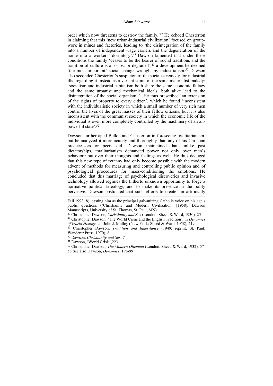order which now threatens to destroy the family.'47 He echoed Chesterton in claiming that this 'new urban-industrial civilization' focused on groupwork in mines and factories, leading to 'the disintegration of the family into a number of independent wage earners and the degeneration of the home into a workers' dormitory'.<sup>48</sup> Dawson lamented that under these conditions the family 'ceases to be the bearer of social traditions and the tradition of culture is also lost or degraded',<sup>49</sup> a development he deemed 'the most important' social change wrought by industrialism.50 Dawson also seconded Chesterton's suspicion of the socialist remedy for industrial ills, regarding it instead as a variant strain of the same materialist malady: 'socialism and industrial capitalism both share the same economic fallacy and the same urbanist and mechanical ideals: both alike lead to the disintegration of the social organism'.<sup>51</sup> He thus prescribed 'an extension of the rights of property to every citizen', which he found 'inconsistent with the individualistic society in which a small number of very rich men control the lives of the great masses of their fellow citizens; but it is also inconsistent with the communist society in which the economic life of the individual is even more completely controlled by the machinery of an allpowerful state'.52

Dawson further aped Belloc and Chesterton in foreseeing totalitarianism, but he analyzed it more acutely and thoroughly than any of his Christian predecessors or peers did. Dawson maintained that, unlike past dictatorships, totalitarianism demanded power not only over men's behaviour but over their thoughts and feelings as well. He thus deduced that this new type of tyranny had only become possible with the modern advent of methods for measuring and controlling public opinion and of psychological procedures for mass-conditioning the emotions. He concluded that this marriage of psychological discoveries and invasive technology allowed regimes the hitherto unknown opportunity to forge a normative political teleology, and to make its presence in the polity pervasive. Dawson postulated that such efforts to create 'an artificially

Fall 1993: 8), casting him as the principal galvanizing Catholic voice on his age's public questions ('Christianity and Modern Civilization' [1958], Dawson Manuscripts, University of St. Thomas, St. Paul, MN).

<sup>47</sup> Christopher Dawson, *Christianity and Sex* (London: Sheed & Ward, 1930), 25 48 Christopher Dawson, 'The World Crisis and the English Tradition', in *Dynamics* 

<sup>&</sup>lt;sup>49</sup> Christopher Dawson, *Tradition and Inheritance* (1949; reprint, St. Paul: Wanderer Press, 1970), 8

<sup>50</sup> Dawson, *Christianity and Sex*, 7 51 Dawson, 'World Crisis',223

<sup>52</sup> Christopher Dawson, *The Modern Dilemma* (London: Sheed & Ward, 1932), 57- 58 See also Dawson, *Dynamics*, 196-99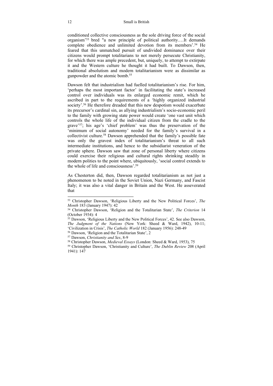conditioned collective consciousness as the sole driving force of the social organism'53 bred "a new principle of political authority.…It demands complete obedience and unlimited devotion from its members'.<sup>54</sup> He feared that this unmatched pursuit of undivided dominance over their citizens would prompt totalitarians to not merely persecute Christianity, for which there was ample precedent, but, uniquely, to attempt to extirpate it and the Western culture he thought it had built. To Dawson, then, traditional absolutism and modern totalitarianism were as dissimilar as gunpowder and the atomic bomb.55

Dawson felt that industrialism had fuelled totalitarianism's rise. For him, 'perhaps the most important factor' in facilitating the state's increased control over individuals was its enlarged economic remit, which he ascribed in part to the requirements of a 'highly organized industrial society'.<sup>56</sup> He therefore dreaded that this new despotism would exacerbate its precursor's cardinal sin, as allying industrialism's socio-economic peril to the family with growing state power would create 'one vast unit which controls the whole life of the individual citizen from the cradle to the grave'57; his age's 'chief problem' was thus the preservation of the 'minimum of social autonomy' needed for the family's survival in a collectivist culture.58 Dawson apprehended that the family's possible fate was only the gravest index of totalitarianism's threat to all such intermediate institutions, and hence to the subsidiarist veneration of the private sphere. Dawson saw that zone of personal liberty where citizens could exercise their religious and cultural rights shrinking steadily in modern polities to the point where, ubiquitously, 'social control extends to the whole of life and consciousness'.59

As Chesterton did, then, Dawson regarded totalitarianism as not just a phenomenon to be noted in the Soviet Union, Nazi Germany, and Fascist Italy; it was also a vital danger in Britain and the West. He asseverated that

<sup>53</sup> Christopher Dawson, 'Religious Liberty and the New Political Forces', *The* 

<sup>&</sup>lt;sup>54</sup> Christopher Dawson, 'Religion and the Totalitarian State', *The Criterion* 14 (October 1934): 4

<sup>55</sup> Dawson, 'Religious Liberty and the New Political Forces', 42. See also Dawson, *The Judgment of the Nations* (New York: Sheed & Ward, 1942), 10-11; 'Civilization in Crisis', *The Catholic World* 182 (January 1956): 248-49<br><sup>56</sup> Dawson, 'Religion and the Totalitarian State', 2<br><sup>57</sup> Dawson, *Christianity and Sex*, 8-9<br><sup>58</sup> Christopher Dawson, *Medieval Essays* (London: S

<sup>1941): 147</sup>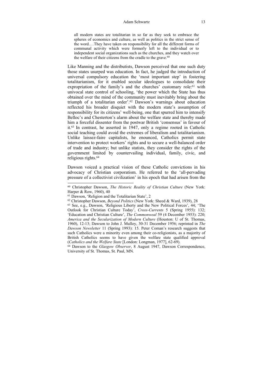### Adam Schwartz 13

all modern states are totalitarian in so far as they seek to embrace the spheres of economics and culture, as well as politics in the strict sense of the word.…They have taken on responsibility for all the different forms of communal activity which were formerly left to the individual or to independent social organizations such as the churches, and they watch over the welfare of their citizens from the cradle to the grave.<sup>60</sup>

Like Manning and the distributists, Dawson perceived that one such duty those states usurped was education. In fact, he judged the introduction of universal compulsory education the 'most important step' in fostering totalitarianism, for it enabled secular ideologues to consolidate their expropriation of the family's and the churches' customary role:<sup>61</sup> with univocal state control of schooling, 'the power which the State has thus obtained over the mind of the community must inevitably bring about the triumph of a totalitarian order'.62 Dawson's warnings about education reflected his broader disquiet with the modern state's assumption of responsibility for its citizens' well-being, one that spurred him to intensify Belloc's and Chesterton's alarm about the welfare state and thereby made him a forceful dissenter from the postwar British 'consensus' in favour of it.63 In contrast, he asserted in 1947, only a regime rooted in Catholic social teaching could avoid the extremes of liberalism and totalitarianism. Unlike laissez-faire capitalists, he enounced, Catholics permit state intervention to protect workers' rights and to secure a well-balanced order of trade and industry; but unlike statists, they consider the rights of the government limited by countervailing individual, family, civic, and religious rights.64

Dawson voiced a practical vision of these Catholic convictions in his advocacy of Christian corporatism. He referred to the 'all-pervading pressure of a collectivist civilization' in his epoch that had arisen from the

<sup>60</sup> Christopher Dawson, *The Historic Reality of Christian Culture* (New York: Harper & Row, 1960), 40<br><sup>61</sup> Dawson, 'Religion and the Totalitarian State', 2

<sup>&</sup>lt;sup>62</sup> Christopher Dawson, *Beyond Politics* (New York: Sheed & Ward, 1939), 28<br><sup>63</sup> See, e.g., Dawson, 'Religious Liberty and the New Political Forces', 44; 'The Outlook for Christian Culture Today', *Cross-Currents* 5 (Spring 1955): 132; 'Education and Christian Culture', *The Commonweal* 59 (4 December 1953): 220; *America and the Secularization of Modern Culture* (Houston: U of St. Thomas, 1960), 12-13; Dawson to John J. Mulloy, 30-31 December 1956; reprinted in *The Dawson Newsletter* 11 (Spring 1993): 15. Peter Coman's research suggests that such Catholics were a minority even among their co-religionists, as a majority of British Catholics seems to have given the welfare state qualified approval (Catholics and the Welfare State [London: Longman, 1977], 62-69).

<sup>&</sup>lt;sup>64</sup> Dawson to the *Glasgow Observer*, 8 August 1947, Dawson Correspondence, University of St. Thomas, St. Paul, MN.